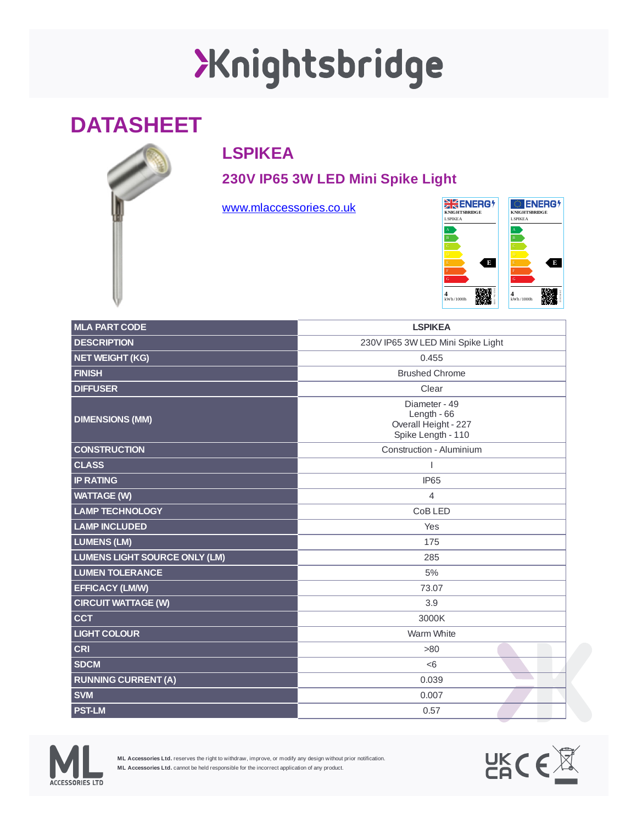# XKnightsbridge

### **DATASHEET**

### **LSPIKEA**

**230V IP65 3W LED Mini Spike Light**

[www.mlaccessories.co.uk](https://www.mlaccessories.co.uk/)



| <b>MLA PART CODE</b>                 | <b>LSPIKEA</b>                                                              |
|--------------------------------------|-----------------------------------------------------------------------------|
| <b>DESCRIPTION</b>                   | 230V IP65 3W LED Mini Spike Light                                           |
| <b>NET WEIGHT (KG)</b>               | 0.455                                                                       |
| <b>FINISH</b>                        | <b>Brushed Chrome</b>                                                       |
| <b>DIFFUSER</b>                      | Clear                                                                       |
| <b>DIMENSIONS (MM)</b>               | Diameter - 49<br>Length $-66$<br>Overall Height - 227<br>Spike Length - 110 |
| <b>CONSTRUCTION</b>                  | Construction - Aluminium                                                    |
| <b>CLASS</b>                         | I                                                                           |
| <b>IP RATING</b>                     | <b>IP65</b>                                                                 |
| <b>WATTAGE (W)</b>                   | 4                                                                           |
| <b>LAMP TECHNOLOGY</b>               | CoB LED                                                                     |
| <b>LAMP INCLUDED</b>                 | Yes                                                                         |
| <b>LUMENS (LM)</b>                   | 175                                                                         |
| <b>LUMENS LIGHT SOURCE ONLY (LM)</b> | 285                                                                         |
| <b>LUMEN TOLERANCE</b>               | 5%                                                                          |
| <b>EFFICACY (LM/W)</b>               | 73.07                                                                       |
| <b>CIRCUIT WATTAGE (W)</b>           | 3.9                                                                         |
| <b>CCT</b>                           | 3000K                                                                       |
| <b>LIGHT COLOUR</b>                  | Warm White                                                                  |
| <b>CRI</b>                           | >80                                                                         |
| <b>SDCM</b>                          | < 6                                                                         |
| <b>RUNNING CURRENT (A)</b>           | 0.039                                                                       |
| <b>SVM</b>                           | 0.007                                                                       |
| <b>PST-LM</b>                        | 0.57                                                                        |



**ML Accessories Ltd.** reserves the right to withdraw, improve, or modify any design without prior notification. **ML Accessories Ltd.** cannot be held responsible for the incorrect application of any product.